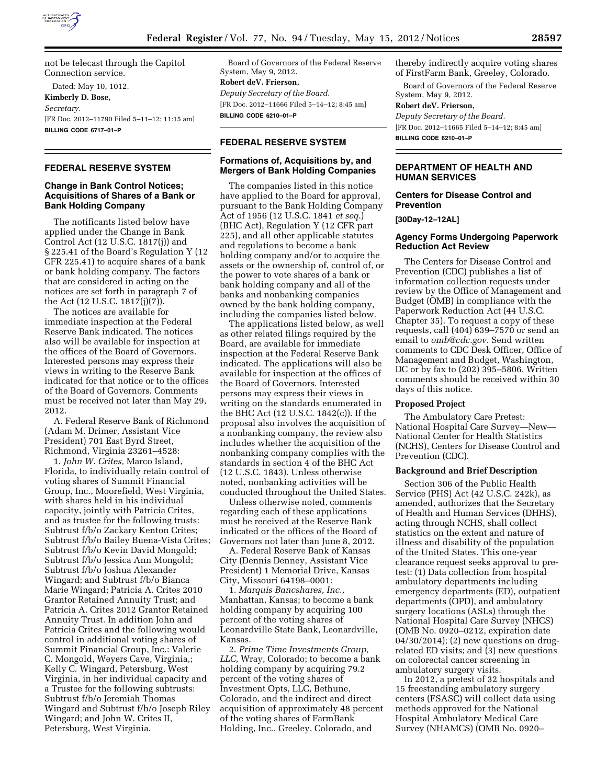

not be telecast through the Capitol Connection service.

Dated: May 10, 1012. **Kimberly D. Bose,**  *Secretary.*  [FR Doc. 2012–11790 Filed 5–11–12; 11:15 am] **BILLING CODE 6717–01–P** 

# **FEDERAL RESERVE SYSTEM**

## **Change in Bank Control Notices; Acquisitions of Shares of a Bank or Bank Holding Company**

The notificants listed below have applied under the Change in Bank Control Act (12 U.S.C. 1817(j)) and § 225.41 of the Board's Regulation Y (12 CFR 225.41) to acquire shares of a bank or bank holding company. The factors that are considered in acting on the notices are set forth in paragraph 7 of the Act (12 U.S.C. 1817(j)(7)).

The notices are available for immediate inspection at the Federal Reserve Bank indicated. The notices also will be available for inspection at the offices of the Board of Governors. Interested persons may express their views in writing to the Reserve Bank indicated for that notice or to the offices of the Board of Governors. Comments must be received not later than May 29, 2012.

A. Federal Reserve Bank of Richmond (Adam M. Drimer, Assistant Vice President) 701 East Byrd Street, Richmond, Virginia 23261–4528:

1. *John W. Crites,* Marco Island, Florida, to individually retain control of voting shares of Summit Financial Group, Inc., Moorefield, West Virginia, with shares held in his individual capacity, jointly with Patricia Crites, and as trustee for the following trusts: Subtrust f/b/o Zackary Kenton Crites; Subtrust f/b/o Bailey Buena-Vista Crites; Subtrust f/b/o Kevin David Mongold; Subtrust f/b/o Jessica Ann Mongold; Subtrust f/b/o Joshua Alexander Wingard; and Subtrust f/b/o Bianca Marie Wingard; Patricia A. Crites 2010 Grantor Retained Annuity Trust; and Patricia A. Crites 2012 Grantor Retained Annuity Trust. In addition John and Patricia Crites and the following would control in additional voting shares of Summit Financial Group, Inc.: Valerie C. Mongold, Weyers Cave, Virginia,; Kelly C. Wingard, Petersburg, West Virginia, in her individual capacity and a Trustee for the following subtrusts: Subtrust f/b/o Jeremiah Thomas Wingard and Subtrust f/b/o Joseph Riley Wingard; and John W. Crites II, Petersburg, West Virginia.

Board of Governors of the Federal Reserve System, May 9, 2012.

**Robert deV. Frierson,** 

*Deputy Secretary of the Board.*  [FR Doc. 2012–11666 Filed 5–14–12; 8:45 am] **BILLING CODE 6210–01–P** 

# **FEDERAL RESERVE SYSTEM**

## **Formations of, Acquisitions by, and Mergers of Bank Holding Companies**

The companies listed in this notice have applied to the Board for approval, pursuant to the Bank Holding Company Act of 1956 (12 U.S.C. 1841 *et seq.*) (BHC Act), Regulation Y (12 CFR part 225), and all other applicable statutes and regulations to become a bank holding company and/or to acquire the assets or the ownership of, control of, or the power to vote shares of a bank or bank holding company and all of the banks and nonbanking companies owned by the bank holding company, including the companies listed below.

The applications listed below, as well as other related filings required by the Board, are available for immediate inspection at the Federal Reserve Bank indicated. The applications will also be available for inspection at the offices of the Board of Governors. Interested persons may express their views in writing on the standards enumerated in the BHC Act (12 U.S.C. 1842(c)). If the proposal also involves the acquisition of a nonbanking company, the review also includes whether the acquisition of the nonbanking company complies with the standards in section 4 of the BHC Act (12 U.S.C. 1843). Unless otherwise noted, nonbanking activities will be conducted throughout the United States.

Unless otherwise noted, comments regarding each of these applications must be received at the Reserve Bank indicated or the offices of the Board of Governors not later than June 8, 2012.

A. Federal Reserve Bank of Kansas City (Dennis Denney, Assistant Vice President) 1 Memorial Drive, Kansas City, Missouri 64198–0001:

1. *Marquis Bancshares, Inc.,*  Manhattan, Kansas; to become a bank holding company by acquiring 100 percent of the voting shares of Leonardville State Bank, Leonardville, Kansas.

2. *Prime Time Investments Group, LLC,* Wray, Colorado; to become a bank holding company by acquiring 79.2 percent of the voting shares of Investment Opts, LLC, Bethune, Colorado, and the indirect and direct acquisition of approximately 48 percent of the voting shares of FarmBank Holding, Inc., Greeley, Colorado, and

thereby indirectly acquire voting shares of FirstFarm Bank, Greeley, Colorado.

Board of Governors of the Federal Reserve System, May 9, 2012.

**Robert deV. Frierson,** 

*Deputy Secretary of the Board.* 

[FR Doc. 2012–11665 Filed 5–14–12; 8:45 am]

**BILLING CODE 6210–01–P** 

# **DEPARTMENT OF HEALTH AND HUMAN SERVICES**

## **Centers for Disease Control and Prevention**

**[30Day-12–12AL]** 

## **Agency Forms Undergoing Paperwork Reduction Act Review**

The Centers for Disease Control and Prevention (CDC) publishes a list of information collection requests under review by the Office of Management and Budget (OMB) in compliance with the Paperwork Reduction Act (44 U.S.C. Chapter 35). To request a copy of these requests, call (404) 639–7570 or send an email to *[omb@cdc.gov.](mailto:omb@cdc.gov)* Send written comments to CDC Desk Officer, Office of Management and Budget, Washington, DC or by fax to (202) 395–5806. Written comments should be received within 30 days of this notice.

### **Proposed Project**

The Ambulatory Care Pretest: National Hospital Care Survey—New— National Center for Health Statistics (NCHS), Centers for Disease Control and Prevention (CDC).

## **Background and Brief Description**

Section 306 of the Public Health Service (PHS) Act (42 U.S.C. 242k), as amended, authorizes that the Secretary of Health and Human Services (DHHS), acting through NCHS, shall collect statistics on the extent and nature of illness and disability of the population of the United States. This one-year clearance request seeks approval to pretest: (1) Data collection from hospital ambulatory departments including emergency departments (ED), outpatient departments (OPD), and ambulatory surgery locations (ASLs) through the National Hospital Care Survey (NHCS) (OMB No. 0920–0212, expiration date 04/30/2014); (2) new questions on drugrelated ED visits; and (3) new questions on colorectal cancer screening in ambulatory surgery visits.

In 2012, a pretest of 32 hospitals and 15 freestanding ambulatory surgery centers (FSASC) will collect data using methods approved for the National Hospital Ambulatory Medical Care Survey (NHAMCS) (OMB No. 0920–